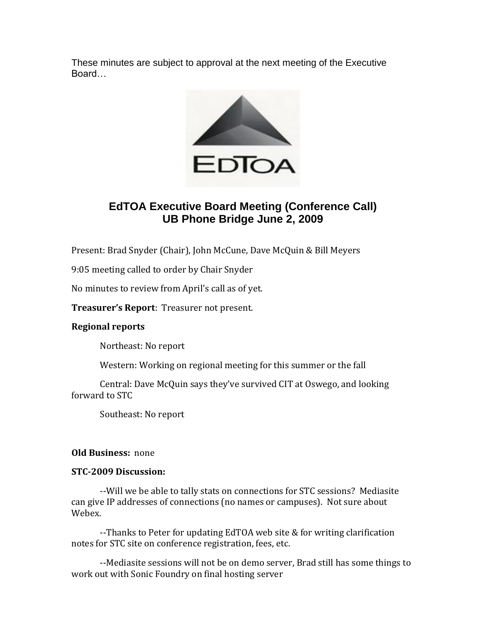These minutes are subject to approval at the next meeting of the Executive Board…



# **EdTOA Executive Board Meeting (Conference Call) UB Phone Bridge June 2, 2009**

Present: Brad Snyder (Chair), John McCune, Dave McQuin & Bill Meyers

9:05 meeting called to order by Chair Snyder

No minutes to review from April's call as of yet.

**Treasurer's Report**: Treasurer not present.

# **Regional reports**

Northeast: No report

Western: Working on regional meeting for this summer or the fall

Central: Dave McQuin says they've survived CIT at Oswego, and looking forward to STC

Southeast: No report

#### **Old Business:** none

## **STC-2009 Discussion:**

--Will we be able to tally stats on connections for STC sessions? Mediasite can give IP addresses of connections (no names or campuses). Not sure about Webex.

--Thanks to Peter for updating EdTOA web site & for writing clarification notes for STC site on conference registration, fees, etc.

--Mediasite sessions will not be on demo server, Brad still has some things to work out with Sonic Foundry on final hosting server